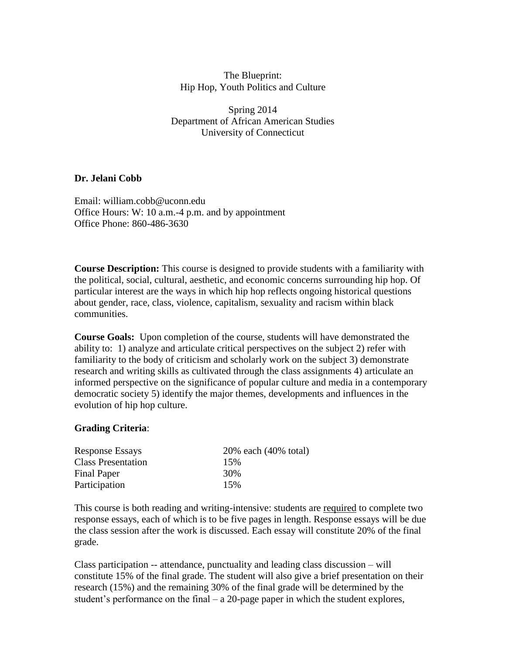The Blueprint: Hip Hop, Youth Politics and Culture

Spring 2014 Department of African American Studies University of Connecticut

#### **Dr. Jelani Cobb**

Email: william.cobb@uconn.edu Office Hours: W: 10 a.m.-4 p.m. and by appointment Office Phone: 860-486-3630

**Course Description:** This course is designed to provide students with a familiarity with the political, social, cultural, aesthetic, and economic concerns surrounding hip hop. Of particular interest are the ways in which hip hop reflects ongoing historical questions about gender, race, class, violence, capitalism, sexuality and racism within black communities.

**Course Goals:** Upon completion of the course, students will have demonstrated the ability to: 1) analyze and articulate critical perspectives on the subject 2) refer with familiarity to the body of criticism and scholarly work on the subject 3) demonstrate research and writing skills as cultivated through the class assignments 4) articulate an informed perspective on the significance of popular culture and media in a contemporary democratic society 5) identify the major themes, developments and influences in the evolution of hip hop culture.

#### **Grading Criteria**:

| <b>Response Essays</b>    | 20% each (40% total) |
|---------------------------|----------------------|
| <b>Class Presentation</b> | 15%                  |
| Final Paper               | 30%                  |
| Participation             | 15%                  |

This course is both reading and writing-intensive: students are required to complete two response essays, each of which is to be five pages in length. Response essays will be due the class session after the work is discussed. Each essay will constitute 20% of the final grade.

Class participation -- attendance, punctuality and leading class discussion – will constitute 15% of the final grade. The student will also give a brief presentation on their research (15%) and the remaining 30% of the final grade will be determined by the student's performance on the final  $- a 20$ -page paper in which the student explores,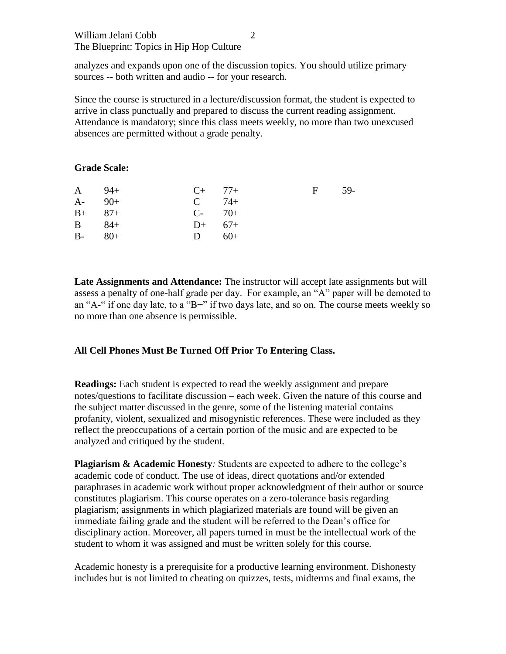## William Jelani Cobb The Blueprint: Topics in Hip Hop Culture

analyzes and expands upon one of the discussion topics. You should utilize primary sources -- both written and audio -- for your research.

Since the course is structured in a lecture/discussion format, the student is expected to arrive in class punctually and prepared to discuss the current reading assignment. Attendance is mandatory; since this class meets weekly, no more than two unexcused absences are permitted without a grade penalty.

## **Grade Scale:**

| $A = 94 +$ |       | $C_{+}$ 77+ | $\mathbf{F}$ | .59- |
|------------|-------|-------------|--------------|------|
| $A-$       | $90+$ | $C = 74 +$  |              |      |
| $B+ 87+$   |       | $C-70+$     |              |      |
| $B = 84 +$ |       | $D+ 67+$    |              |      |
| $B-80+$    |       | $D = 60+$   |              |      |
|            |       |             |              |      |

**Late Assignments and Attendance:** The instructor will accept late assignments but will assess a penalty of one-half grade per day. For example, an "A" paper will be demoted to an "A-" if one day late, to a "B+" if two days late, and so on. The course meets weekly so no more than one absence is permissible.

# **All Cell Phones Must Be Turned Off Prior To Entering Class.**

**Readings:** Each student is expected to read the weekly assignment and prepare notes/questions to facilitate discussion – each week. Given the nature of this course and the subject matter discussed in the genre, some of the listening material contains profanity, violent, sexualized and misogynistic references. These were included as they reflect the preoccupations of a certain portion of the music and are expected to be analyzed and critiqued by the student.

**Plagiarism & Academic Honesty***:* Students are expected to adhere to the college's academic code of conduct. The use of ideas, direct quotations and/or extended paraphrases in academic work without proper acknowledgment of their author or source constitutes plagiarism. This course operates on a zero-tolerance basis regarding plagiarism; assignments in which plagiarized materials are found will be given an immediate failing grade and the student will be referred to the Dean's office for disciplinary action. Moreover, all papers turned in must be the intellectual work of the student to whom it was assigned and must be written solely for this course.

Academic honesty is a prerequisite for a productive learning environment. Dishonesty includes but is not limited to cheating on quizzes, tests, midterms and final exams, the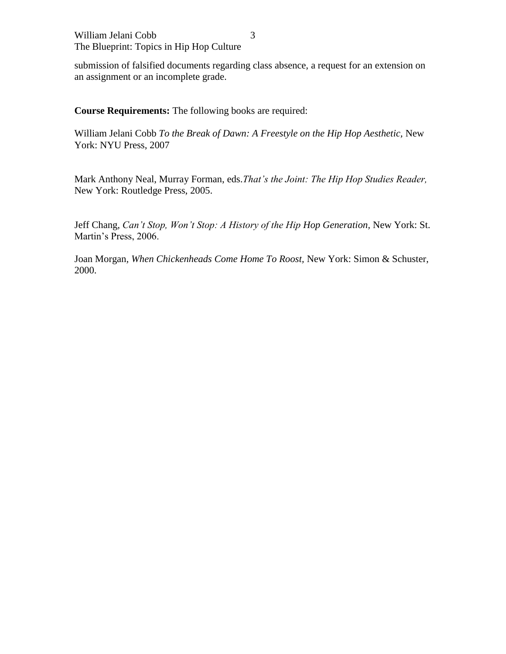submission of falsified documents regarding class absence, a request for an extension on an assignment or an incomplete grade.

**Course Requirements:** The following books are required:

William Jelani Cobb *To the Break of Dawn: A Freestyle on the Hip Hop Aesthetic,* New York: NYU Press, 2007

Mark Anthony Neal, Murray Forman, eds.*That's the Joint: The Hip Hop Studies Reader,*  New York: Routledge Press, 2005.

Jeff Chang, *Can't Stop, Won't Stop: A History of the Hip Hop Generation,* New York: St. Martin's Press, 2006.

Joan Morgan*, When Chickenheads Come Home To Roost,* New York: Simon & Schuster, 2000.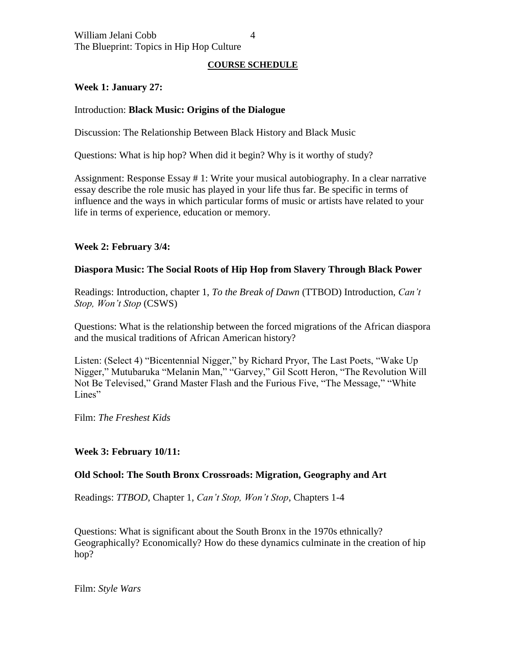## **COURSE SCHEDULE**

# **Week 1: January 27:**

#### Introduction: **Black Music: Origins of the Dialogue**

Discussion: The Relationship Between Black History and Black Music

Questions: What is hip hop? When did it begin? Why is it worthy of study?

Assignment: Response Essay # 1: Write your musical autobiography. In a clear narrative essay describe the role music has played in your life thus far. Be specific in terms of influence and the ways in which particular forms of music or artists have related to your life in terms of experience, education or memory.

## **Week 2: February 3/4:**

## **Diaspora Music: The Social Roots of Hip Hop from Slavery Through Black Power**

Readings: Introduction, chapter 1, *To the Break of Dawn* (TTBOD) Introduction, *Can't Stop, Won't Stop* (CSWS)

Questions: What is the relationship between the forced migrations of the African diaspora and the musical traditions of African American history?

Listen: (Select 4) "Bicentennial Nigger," by Richard Pryor, The Last Poets, "Wake Up Nigger," Mutubaruka "Melanin Man," "Garvey," Gil Scott Heron, "The Revolution Will Not Be Televised," Grand Master Flash and the Furious Five, "The Message," "White Lines"

Film: *The Freshest Kids*

# **Week 3: February 10/11:**

#### **Old School: The South Bronx Crossroads: Migration, Geography and Art**

Readings: *TTBOD*, Chapter 1, *Can't Stop, Won't Stop*, Chapters 1-4

Questions: What is significant about the South Bronx in the 1970s ethnically? Geographically? Economically? How do these dynamics culminate in the creation of hip hop?

Film: *Style Wars*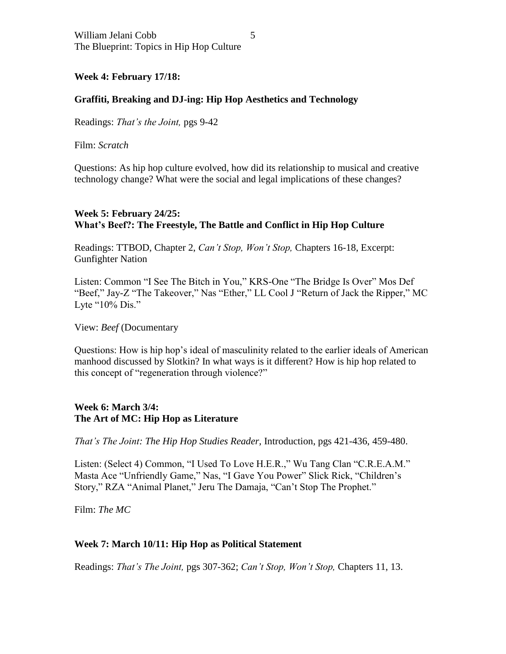## **Week 4: February 17/18:**

## **Graffiti, Breaking and DJ-ing: Hip Hop Aesthetics and Technology**

Readings: *That's the Joint,* pgs 9-42

Film: *Scratch*

Questions: As hip hop culture evolved, how did its relationship to musical and creative technology change? What were the social and legal implications of these changes?

## **Week 5: February 24/25: What's Beef?: The Freestyle, The Battle and Conflict in Hip Hop Culture**

Readings: TTBOD, Chapter 2, *Can't Stop, Won't Stop,* Chapters 16-18, Excerpt: Gunfighter Nation

Listen: Common "I See The Bitch in You," KRS-One "The Bridge Is Over" Mos Def "Beef," Jay-Z "The Takeover," Nas "Ether," LL Cool J "Return of Jack the Ripper," MC Lyte "10% Dis."

View: *Beef* (Documentary

Questions: How is hip hop's ideal of masculinity related to the earlier ideals of American manhood discussed by Slotkin? In what ways is it different? How is hip hop related to this concept of "regeneration through violence?"

## **Week 6: March 3/4: The Art of MC: Hip Hop as Literature**

*That's The Joint: The Hip Hop Studies Reader,* Introduction, pgs 421-436, 459-480.

Listen: (Select 4) Common, "I Used To Love H.E.R.," Wu Tang Clan "C.R.E.A.M." Masta Ace "Unfriendly Game," Nas, "I Gave You Power" Slick Rick, "Children's Story," RZA "Animal Planet," Jeru The Damaja, "Can't Stop The Prophet."

Film: *The MC*

#### **Week 7: March 10/11: Hip Hop as Political Statement**

Readings: *That's The Joint,* pgs 307-362; *Can't Stop, Won't Stop,* Chapters 11, 13.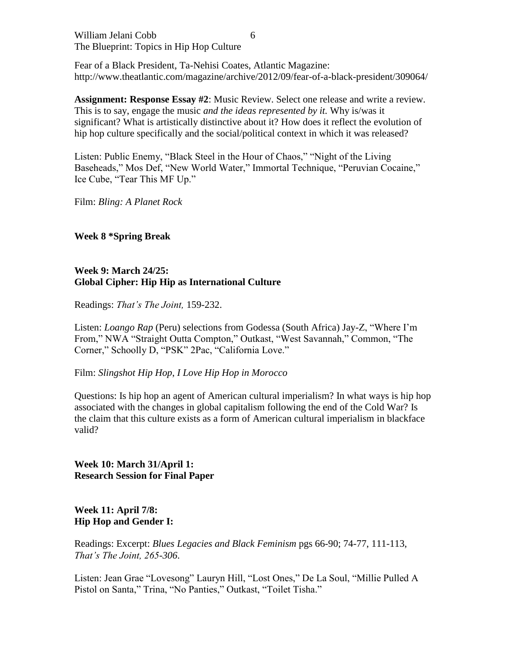William Jelani Cobb The Blueprint: Topics in Hip Hop Culture

Fear of a Black President, Ta-Nehisi Coates, Atlantic Magazine: http://www.theatlantic.com/magazine/archive/2012/09/fear-of-a-black-president/309064/

**Assignment: Response Essay #2**: Music Review. Select one release and write a review. This is to say, engage the music *and the ideas represented by it.* Why is/was it significant? What is artistically distinctive about it? How does it reflect the evolution of hip hop culture specifically and the social/political context in which it was released?

Listen: Public Enemy, "Black Steel in the Hour of Chaos," "Night of the Living Baseheads," Mos Def, "New World Water," Immortal Technique, "Peruvian Cocaine," Ice Cube, "Tear This MF Up."

Film: *Bling: A Planet Rock*

## **Week 8 \*Spring Break**

# **Week 9: March 24/25: Global Cipher: Hip Hip as International Culture**

Readings: *That's The Joint,* 159-232.

Listen: *Loango Rap* (Peru) selections from Godessa (South Africa) Jay-Z, "Where I'm From," NWA "Straight Outta Compton," Outkast, "West Savannah," Common, "The Corner," Schoolly D, "PSK" 2Pac, "California Love."

Film: *Slingshot Hip Hop*, *I Love Hip Hop in Morocco*

Questions: Is hip hop an agent of American cultural imperialism? In what ways is hip hop associated with the changes in global capitalism following the end of the Cold War? Is the claim that this culture exists as a form of American cultural imperialism in blackface valid?

**Week 10: March 31/April 1: Research Session for Final Paper**

**Week 11: April 7/8: Hip Hop and Gender I:** 

Readings: Excerpt: *Blues Legacies and Black Feminism* pgs 66-90; 74-77, 111-113, *That's The Joint, 265-306*.

Listen: Jean Grae "Lovesong" Lauryn Hill, "Lost Ones," De La Soul, "Millie Pulled A Pistol on Santa," Trina, "No Panties," Outkast, "Toilet Tisha."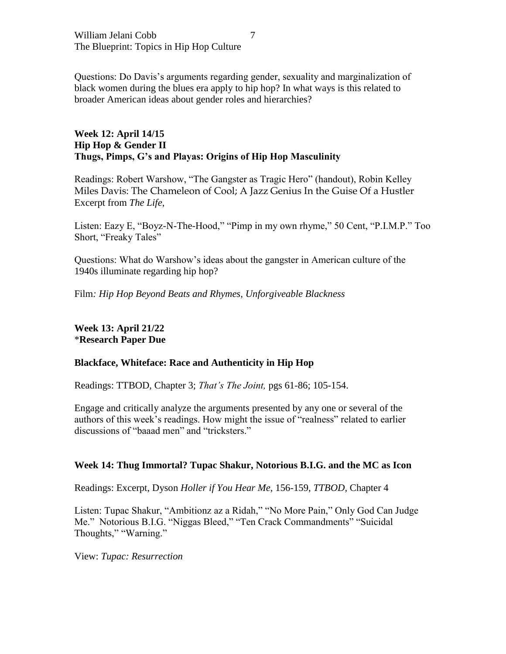William Jelani Cobb The Blueprint: Topics in Hip Hop Culture

Questions: Do Davis's arguments regarding gender, sexuality and marginalization of black women during the blues era apply to hip hop? In what ways is this related to broader American ideas about gender roles and hierarchies?

### **Week 12: April 14/15 Hip Hop & Gender II Thugs, Pimps, G's and Playas: Origins of Hip Hop Masculinity**

Readings: Robert Warshow, "The Gangster as Tragic Hero" (handout), Robin Kelley Miles Davis: The Chameleon of Cool; A Jazz Genius In the Guise Of a Hustler Excerpt from *The Life*,

Listen: Eazy E, "Boyz-N-The-Hood," "Pimp in my own rhyme," 50 Cent, "P.I.M.P." Too Short, "Freaky Tales"

Questions: What do Warshow's ideas about the gangster in American culture of the 1940s illuminate regarding hip hop?

Film*: Hip Hop Beyond Beats and Rhymes, Unforgiveable Blackness*

**Week 13: April 21/22** \***Research Paper Due**

#### **Blackface, Whiteface: Race and Authenticity in Hip Hop**

Readings: TTBOD, Chapter 3; *That's The Joint,* pgs 61-86; 105-154.

Engage and critically analyze the arguments presented by any one or several of the authors of this week's readings. How might the issue of "realness" related to earlier discussions of "baaad men" and "tricksters."

#### **Week 14: Thug Immortal? Tupac Shakur, Notorious B.I.G. and the MC as Icon**

Readings: Excerpt, Dyson *Holler if You Hear Me,* 156-159, *TTBOD,* Chapter 4

Listen: Tupac Shakur, "Ambitionz az a Ridah," "No More Pain," Only God Can Judge Me." Notorious B.I.G. "Niggas Bleed," "Ten Crack Commandments" "Suicidal Thoughts," "Warning."

View: *Tupac: Resurrection*